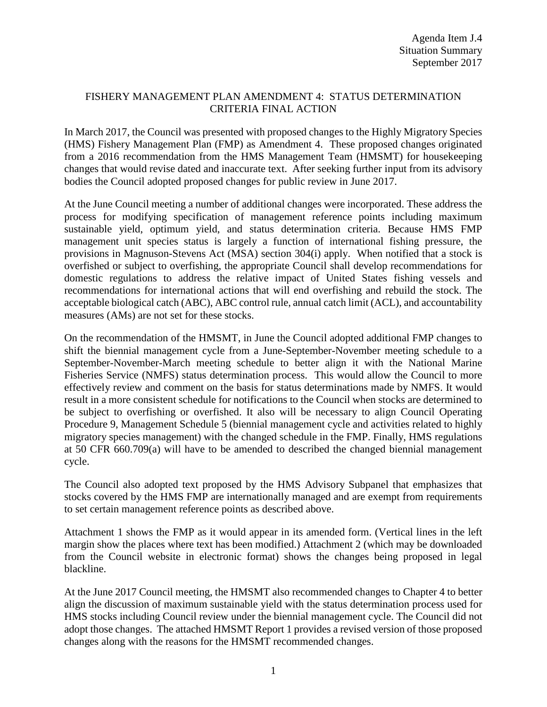### FISHERY MANAGEMENT PLAN AMENDMENT 4: STATUS DETERMINATION CRITERIA FINAL ACTION

In March 2017, the Council was presented with proposed changes to the Highly Migratory Species (HMS) Fishery Management Plan (FMP) as Amendment 4. These proposed changes originated from a 2016 recommendation from the HMS Management Team (HMSMT) for housekeeping changes that would revise dated and inaccurate text. After seeking further input from its advisory bodies the Council adopted proposed changes for public review in June 2017.

At the June Council meeting a number of additional changes were incorporated. These address the process for modifying specification of management reference points including maximum sustainable yield, optimum yield, and status determination criteria. Because HMS FMP management unit species status is largely a function of international fishing pressure, the provisions in Magnuson-Stevens Act (MSA) section 304(i) apply. When notified that a stock is overfished or subject to overfishing, the appropriate Council shall develop recommendations for domestic regulations to address the relative impact of United States fishing vessels and recommendations for international actions that will end overfishing and rebuild the stock. The acceptable biological catch (ABC), ABC control rule, annual catch limit (ACL), and accountability measures (AMs) are not set for these stocks.

On the recommendation of the HMSMT, in June the Council adopted additional FMP changes to shift the biennial management cycle from a June-September-November meeting schedule to a September-November-March meeting schedule to better align it with the National Marine Fisheries Service (NMFS) status determination process. This would allow the Council to more effectively review and comment on the basis for status determinations made by NMFS. It would result in a more consistent schedule for notifications to the Council when stocks are determined to be subject to overfishing or overfished. It also will be necessary to align Council Operating Procedure 9, Management Schedule 5 (biennial management cycle and activities related to highly migratory species management) with the changed schedule in the FMP. Finally, HMS regulations at 50 CFR 660.709(a) will have to be amended to described the changed biennial management cycle.

The Council also adopted text proposed by the HMS Advisory Subpanel that emphasizes that stocks covered by the HMS FMP are internationally managed and are exempt from requirements to set certain management reference points as described above.

Attachment 1 shows the FMP as it would appear in its amended form. (Vertical lines in the left margin show the places where text has been modified.) Attachment 2 (which may be downloaded from the Council website in electronic format) shows the changes being proposed in legal blackline.

At the June 2017 Council meeting, the HMSMT also recommended changes to Chapter 4 to better align the discussion of maximum sustainable yield with the status determination process used for HMS stocks including Council review under the biennial management cycle. The Council did not adopt those changes. The attached HMSMT Report 1 provides a revised version of those proposed changes along with the reasons for the HMSMT recommended changes.